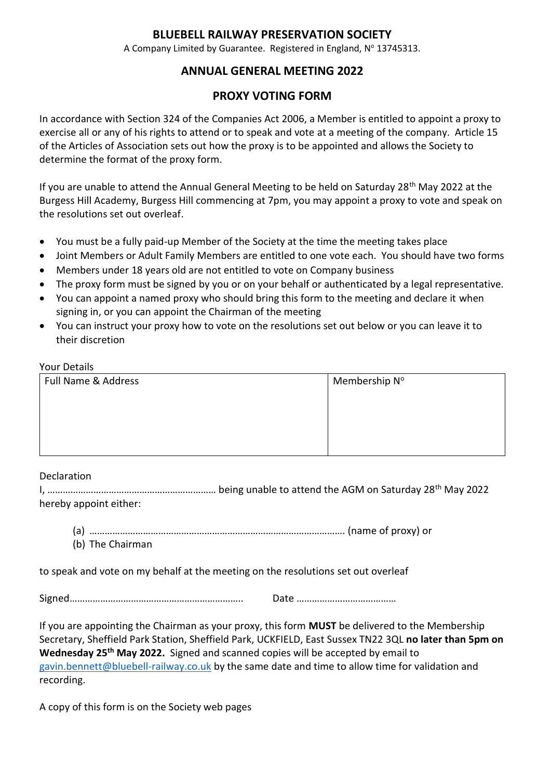### **BLUEBELL RAILWAY PRESERVATION SOCIETY**

A Company Limited by Guarantee. Registered in England, Nº 13745313.

# **ANNUAL GENERAL MEETING 2022**

## **PROXY VOTING FORM**

In accordance with Section 324 of the Companies Act 2006, a Member is entitled to appoint a proxy to exercise all or any of his rights to attend or to speak and vote at a meeting of the company. Article 15 of the Articles of Association sets out how the proxy is to be appointed and allows the Society to determine the format of the proxy form.

If you are unable to attend the Annual General Meeting to be held on Saturday 28<sup>th</sup> May 2022 at the Burgess Hill Academy, Burgess Hill commencing at 7pm, you may appoint a proxy to vote and speak on the resolutions set out overleaf.

- You must be a fully paid-up Member of the Society at the time the meeting takes place
- Joint Members or Adult Family Members are entitled to one vote each. You should have two forms
- Members under 18 years old are not entitled to vote on Company business
- The proxy form must be signed by you or on your behalf or authenticated by a legal representative.
- You can appoint a named proxy who should bring this form to the meeting and declare it when signing in, or you can appoint the Chairman of the meeting
- You can instruct your proxy how to vote on the resolutions set out below or you can leave it to their discretion

#### Your Details

| Full Name & Address | Membership N° |
|---------------------|---------------|
|                     |               |
|                     |               |
|                     |               |
|                     |               |

### **Declaration**

I, ………………………………………………………… being unable to attend the AGM on Saturday 28th May 2022 hereby appoint either:

- (a) ………………………………………………………………………………………. (name of proxy) or
- (b) The Chairman

to speak and vote on my behalf at the meeting on the resolutions set out overleaf

Signed………………………………………………………….. Date …………………………………

If you are appointing the Chairman as your proxy, this form **MUST** be delivered to the Membership Secretary, Sheffield Park Station, Sheffield Park, UCKFIELD, East Sussex TN22 3QL **no later than 5pm on Wednesday 25th May 2022.** Signed and scanned copies will be accepted by email to [gavin.bennett@bluebell-railway.co.uk](mailto:gavin.bennett@bluebell-railway.co.uk) by the same date and time to allow time for validation and recording.

A copy of this form is on the Society web pages